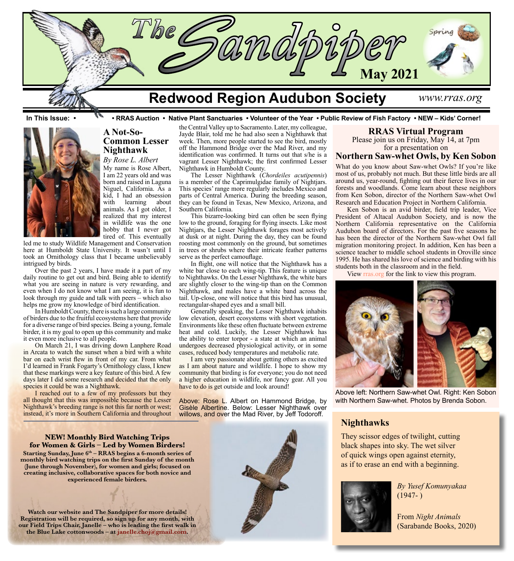

**In This Issue: • • RRAS Auction • Native Plant Sanctuaries • Volunteer of the Year • Public Review of Fish Factory • NEW – Kids' Corner!**



# **A Not-So-Common Lesser Nighthawk**

*By Rose L. Albert* My name is Rose Albert, I am 22 years old and was born and raised in Laguna Niguel, California. As a kid, I had an obsession with learning about animals. As I got older, I realized that my interest in wildlife was the one hobby that I never got tired of. This eventually

led me to study Wildlife Management and Conservation here at Humboldt State University. It wasn't until I took an Ornithology class that I became unbelievably intrigued by birds.

Over the past 2 years, I have made it a part of my daily routine to get out and bird. Being able to identify what you are seeing in nature is very rewarding, and even when I do not know what I am seeing, it is fun to look through my guide and talk with peers – which also helps me grow my knowledge of bird identification.

In Humboldt County, there is such a large community of birders due to the fruitful ecosystems here that provide for a diverse range of bird species. Being a young, female birder, it is my goal to open up this community and make it even more inclusive to all people.

On March 21, I was driving down Lanphere Road in Arcata to watch the sunset when a bird with a white bar on each wrist flew in front of my car. From what I'd learned in Frank Fogarty's Ornithology class, I knew that these markings were a key feature of this bird. A few days later I did some research and decided that the only species it could be was a Nighthawk.

I reached out to a few of my professors but they all thought that this was impossible because the Lesser Nighthawk's breeding range is not this far north or west; instead, it's more in Southern California and throughout

the Central Valley up to Sacramento. Later, my colleague, Jayde Blair, told me he had also seen a Nighthawk that week. Then, more people started to see the bird, mostly off the Hammond Bridge over the Mad River, and my identification was confirmed. It turns out that s/he is a vagrant Lesser Nighthawk; the first confirmed Lesser Nighthawk in Humboldt County.

The Lesser Nighthawk (*Chordeiles acutipennis*) is a member of the Caprimulgidae family of Nightjars. This species' range more regularly includes Mexico and parts of Central America. During the breeding season, they can be found in Texas, New Mexico, Arizona, and Southern California.

This bizarre-looking bird can often be seen flying low to the ground, foraging for flying insects. Like most Nightjars, the Lesser Nighthawk forages most actively at dusk or at night. During the day, they can be found roosting most commonly on the ground, but sometimes in trees or shrubs where their intricate feather patterns serve as the perfect camouflage.

In flight, one will notice that the Nighthawk has a white bar close to each wing-tip. This feature is unique to Nighthawks. On the Lesser Nighthawk, the white bars are slightly closer to the wing-tip than on the Common Nighthawk, and males have a white band across the tail. Up-close, one will notice that this bird has unusual, rectangular-shaped eyes and a small bill.

Generally speaking, the Lesser Nighthawk inhabits low elevation, desert ecosystems with short vegetation. Environments like these often fluctuate between extreme heat and cold. Luckily, the Lesser Nighthawk has the ability to enter torpor - a state at which an animal undergoes decreased physiological activity, or in some cases, reduced body temperatures and metabolic rate.

I am very passionate about getting others as excited as I am about nature and wildlife. I hope to show my community that birding is for everyone; you do not need a higher education in wildlife, nor fancy gear. All you have to do is get outside and look around!

Above: Rose L. Albert on Hammond Bridge, by Gisèle Albertine. Below: Lesser Nighthawk over willows, and over the Mad River, by Jeff Todoroff.

### **RRAS Virtual Program**

Please join us on Friday, May 14, at 7pm for a presentation on

## **Northern Saw-whet Owls, by Ken Sobon**

What do you know about Saw-whet Owls? If you're like most of us, probably not much. But these little birds are all around us, year-round, fighting out their fierce lives in our forests and woodlands. Come learn about these neighbors from Ken Sobon, director of the Northern Saw-whet Owl Research and Education Project in Northern California.

Ken Sobon is an avid birder, field trip leader, Vice President of Altacal Audubon Society, and is now the Northern California representative on the California Audubon board of directors. For the past five seasons he has been the director of the Northern Saw-whet Owl fall migration monitoring project. In addition, Ken has been a science teacher to middle school students in Oroville since 1995. He has shared his love of science and birding with his students both in the classroom and in the field.

View [rras.org](http://rras.org/home.aspx) for the link to view this program.



Above left: Northern Saw-whet Owl. Right: Ken Sobon with Northern Saw-whet. Photos by Brenda Sobon.

## **Nighthawks**

They scissor edges of twilight, cutting black shapes into sky. The wet silver of quick wings open against eternity, as if to erase an end with a beginning.



*By Yusef Komunyakaa*  $(1947- )$ 

From *Night Animals* (Sarabande Books, 2020)

**NEW! Monthly Bird Watching Trips for Women & Girls – Led by Women Birders!** Starting Sunday, June  $6<sup>th</sup>$  – RRAS begins a 6-month series of **monthly bird watching trips on the first Sunday of the month (June through November), for women and girls; focused on creating inclusive, collaborative spaces for both novice and experienced female birders.**



**Watch our website and The Sandpiper for more details! Registration will be required, so sign up for any month, with** 

**our Field Trips Chair, Janelle – who is leading the first walk in the Blue Lake cottonwoods – at [janelle.choj@gmail.com](mailto:janelle.choj%40gmail.com?subject=).**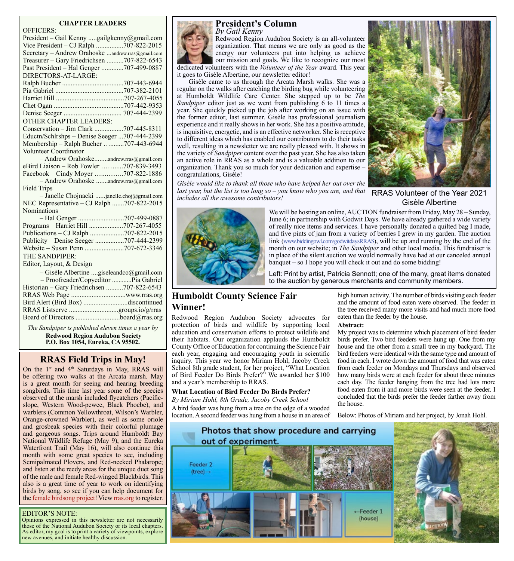### **CHAPTER LEADERS**

| <b>OFFICERS:</b>                                  |
|---------------------------------------------------|
| President - Gail Kenny gailgkenny@gmail.com       |
| Vice President - CJ Ralph 707-822-2015            |
| Secretary - Andrew Orahoske andrew.rras@gmail.com |
| Treasurer - Gary Friedrichsen 707-822-6543        |
| Past President - Hal Genger 707-499-0887          |
| DIRECTORS-AT-LARGE:                               |
|                                                   |
|                                                   |
|                                                   |
|                                                   |
|                                                   |
| <b>OTHER CHAPTER LEADERS:</b>                     |
| Conservation - Jim Clark 707-445-8311             |
| Eductn/Schlrshps - Denise Seeger 707-444-2399     |
| Membership - Ralph Bucher 707-443-6944            |
| Volunteer Coordinator                             |
| - Andrew Orahoskeandrew.rras@gmail.com            |
| eBird Liaison - Rob Fowler 707-839-3493           |
| Facebook - Cindy Moyer 707-822-1886               |
| - Andrew Orahoske andrew.rras@gmail.com           |
| <b>Field Trips</b>                                |
| - Janelle Chojnacki janelle.choj@gmail.com        |
| NEC Representative - CJ Ralph 707-822-2015        |
| Nominations                                       |
|                                                   |
| Programs - Harriet Hill 707-267-4055              |
| Publications - CJ Ralph 707-822-2015              |
| Publicity – Denise Seeger 707-444-2399            |
|                                                   |
| THE SANDPIPER:                                    |
| Editor, Layout, & Design                          |
| - Gisèle Albertine giseleandco@gmail.com          |
| - Proofreader/Copyeditor  Pia Gabriel             |
| Historian - Gary Friedrichsen 707-822-6543        |
|                                                   |
| Bird Alert (Bird Box) discontinued                |
| RRAS Listserve groups.io/g/rras                   |

*The Sandpiper is published eleven times a year by*  **Redwood Region Audubon Society P.O. Box 1054, Eureka, CA 95502.**

Board of Directors ..........................[board@rras.org](mailto:board@rras.org)

# **RRAS Field Trips in May!**

On the 1<sup>st</sup> and 4<sup>th</sup> Saturdays in May, RRAS will be offering two walks at the Arcata marsh. May is a great month for seeing and hearing breeding songbirds. This time last year some of the species observed at the marsh included flycatchers (Pacificslope, Western Wood-pewee, Black Phoebe), and warblers (Common Yellowthroat, Wilson's Warbler, Orange-crowned Warbler), as well as some oriole and grosbeak species with their colorful plumage and gorgeous songs. Trips around Humboldt Bay National Wildlife Refuge (May 9), and the Eureka Waterfront Trail (May 16), will also continue this month with some great species to see, including Semipalmated Plovers, and Red-necked Phalarope; and listen at the reedy areas for the unique duet song of the male and female Red-winged Blackbirds. This also is a great time of year to work on identifying birds by song, so see if you can help document for the [female birdsong](http://femalebirdsong.org/) project! View [rras.org](http://rras.org/home.aspx) to register.

### EDITOR'S NOTE:

Opinions expressed in this newsletter are not necessarily those of the National Audubon Society or its local chapters. As editor, my goal is to print a variety of viewpoints, explore new avenues, and initiate healthy discussion.



Redwood Region Audubon Society is an all-volunteer organization. That means we are only as good as the energy our volunteers put into helping us achieve our mission and goals. We like to recognize our most

dedicated volunteers with the *Volunteer of the Year* award. This year it goes to Gisèle Albertine, our newsletter editor!

Gisèle came to us through the Arcata Marsh walks. She was a regular on the walks after catching the birding bug while volunteering at Humboldt Wildlife Care Center. She stepped up to be *The Sandpiper* editor just as we went from publishing 6 to 11 times a year. She quickly picked up the job after working on an issue with the former editor, last summer. Gisèle has professional journalism experience and it really shows in her work. She has a positive attitude, is inquisitive, energetic, and is an effective networker. She is receptive to different ideas which has enabled our contributors to do their tasks well, resulting in a newsletter we are really pleased with. It shows in the variety of *Sandpiper* content over the past year. She has also taken an active role in RRAS as a whole and is a valuable addition to our organization. Thank you so much for your dedication and expertise – congratulations, Gisèle!

*Gisèle would like to thank all those who have helped her out over the last year, but the list is too long so – you know who you are, and that includes all the awesome contributors!*



RRAS Volunteer of the Year 2021 Gisèle Albertine



We will be hosting an online, AUCTION fundraiser from Friday, May 28 – Sunday, June 6; in partnership with Godwit Days. We have already gathered a wide variety of really nice items and services. I have personally donated a quilted bag I made, and five pints of jam from a variety of berries I grew in my garden. The auction link ([www.biddingowl.com/godwitdaysRRAS](https://www.biddingowl.com/godwitdaysRRAS)), will be up and running by the end of the month on our website; in *The Sandpiper* and other local media. This fundraiser is in place of the silent auction we would normally have had at our canceled annual banquet – so I hope you will check it out and do some bidding!

Left: Print by artist, Patricia Sennott; one of the many, great items donated to the auction by generous merchants and community members.

# **Humboldt County Science Fair Winner!**

Redwood Region Audubon Society advocates for protection of birds and wildlife by supporting local education and conservation efforts to protect wildlife and their habitats. Our organization applauds the Humboldt County Office of Education for continuing the Science Fair each year, engaging and encouraging youth in scientific inquiry. This year we honor Miriam Hohl, Jacoby Creek School 8th grade student, for her project, "What Location of Bird Feeder Do Birds Prefer?" We awarded her \$100 and a year's membership to RRAS.

### **What Location of Bird Feeder Do Birds Prefer?**

*By Miriam Hohl, 8th Grade, Jacoby Creek School* A bird feeder was hung from a tree on the edge of a wooded location. A second feeder was hung from a house in an area of

high human activity. The number of birds visiting each feeder and the amount of food eaten were observed. The feeder in the tree received many more visits and had much more food eaten than the feeder by the house.

**Abstract:**

My project was to determine which placement of bird feeder birds prefer. Two bird feeders were hung up. One from my house and the other from a small tree in my backyard. The bird feeders were identical with the same type and amount of food in each. I wrote down the amount of food that was eaten from each feeder on Mondays and Thursdays and observed how many birds were at each feeder for about three minutes each day. The feeder hanging from the tree had lots more food eaten from it and more birds were seen at the feeder. I concluded that the birds prefer the feeder farther away from the house.

Below: Photos of Miriam and her project, by Jonah Hohl.

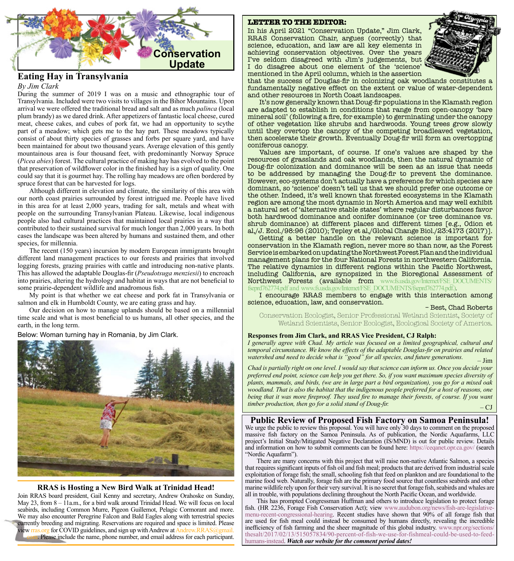

# **Eating Hay in Transylvania**

### *By Jim Clark*

During the summer of 2019 I was on a music and ethnographic tour of Transylvania. Included were two visits to villages in the Bihor Mountains. Upon arrival we were offered the traditional bread and salt and as much *palinca* (local plum brandy) as we dared drink. After appetizers of fantastic local cheese, cured meat, cheese cakes, and cubes of pork fat, we had an opportunity to scythe part of a meadow; which gets me to the hay part. These meadows typically consist of about thirty species of grasses and forbs per square yard, and have been maintained for about two thousand years. Average elevation of this gently mountainous area is four thousand feet, with predominantly Norway Spruce (*Picea abies*) forest. The cultural practice of making hay has evolved to the point that preservation of wildflower color in the finished hay is a sign of quality. One could say that it is gourmet hay. The rolling hay meadows are often bordered by spruce forest that can be harvested for logs.

Although different in elevation and climate, the similarity of this area with our north coast prairies surrounded by forest intrigued me. People have lived in this area for at least 2,000 years, trading for salt, metals and wheat with people on the surrounding Transylvanian Plateau. Likewise, local indigenous people also had cultural practices that maintained local prairies in a way that contributed to their sustained survival for much longer than 2,000 years. In both cases the landscape was been altered by humans and sustained them, and other species, for millennia.

The recent (150 years) incursion by modern European immigrants brought different land management practices to our forests and prairies that involved logging forests, grazing prairies with cattle and introducing non-native plants. This has allowed the adaptable Douglas-fir (*Pseudotsuga menziesii*) to encroach into prairies, altering the hydrology and habitat in ways that are not beneficial to some prairie-dependent wildlife and anadromous fish.

My point is that whether we eat cheese and pork fat in Transylvania or salmon and elk in Humboldt County, we are eating grass and hay.

Our decision on how to manage uplands should be based on a millennial time scale and what is most beneficial to us humans, all other species, and the earth, in the long term.

Below: Woman turning hay in Romania, by Jim Clark.



### **RRAS is Hosting a New Bird Walk at Trinidad Head!**

Join RRAS board president, Gail Kenny and secretary, Andrew Orahoske on Sunday, May 23, from 8 – 11a.m., for a bird walk around Trinidad Head. We will focus on local seabirds, including Common Murre, Pigeon Guillemot, Pelagic Cormorant and more. We may also encounter Peregrine Falcon and Bald Eagles along with terrestrial species currently breeding and migrating. Reservations are required and space is limited. Please view [rras.org](http://rras.org/home.aspx) for COVID guidelines, and sign up with Andrew at Andrew.RRAS@gmail Please include the name, phone number, and email address for each participant.

#### **LETTER TO THE EDITOR:**

In his April 2021 "Conservation Update," Jim Clark, RRAS Conservation Chair, argues (correctly) that science, education, and law are all key elements in achieving conservation objectives. Over the years I've seldom disagreed with Jim's judgements, but I do disagree about one element of the 'science' mentioned in the April column, which is the assertion



that the success of Douglas-fir in colonizing oak woodlands constitutes a fundamentally negative effect on the extent or value of water-dependent and other resources in North Coast landscapes.

It's now generally known that Doug-fir populations in the Klamath region are adapted to establish in conditions that range from open-canopy 'bare mineral soil' (following a fire, for example) to germinating under the canopy of other vegetation like shrubs and hardwoods. Young trees grow slowly until they overtop the canopy of the competing broadleaved vegetation, then accelerate their growth. Eventually Doug-fir will form an overtopping coniferous canopy.

Values are important, of course. If one's values are shaped by the resources of grasslands and oak woodlands, then the natural dynamic of Doug-fir colonization and dominance will be seen as an issue that needs to be addressed by managing the Doug-fir to prevent the dominance. However, eco-systems don't actually have a preference for which species are dominant, so 'science' doesn't tell us that we should prefer one outcome or the other. Indeed, it's well known that forested ecosystems in the Klamath region are among the most dynamic in North America and may well exhibit a natural set of 'alternative stable states' where regular disturbances favor both hardwood dominance and conifer dominance (or tree dominance vs. shrub dominance) at different places and different times [e.g., Odion et al,/J. Ecol./98:96 (2010); Tepley et al,/Global Change Biol./23:4173 (2017)].

Getting a better handle on the relevant science is important for conservation in the Klamath region, never more so than now, as the Forest Service is embarked on updating the Northwest Forest Plan and the individual management plans for the four National Forests in northwestern California. The relative dynamics in different regions within the Pacific Northwest, including California, are synopsized in the Bioregional Assessment of Northwest Forests (available from [www.fs.usda.gov/Internet/FSE\\_DOCUMENTS/](https://www.fs.usda.gov/Internet/FSE_DOCUMENTS/fseprd762774.pdf) [fseprd762774.pdf](https://www.fs.usda.gov/Internet/FSE_DOCUMENTS/fseprd762774.pdf) and [www.fs.usda.gov/Internet/FSE\\_DOCUMENTS/fseprd762774.pdf](https://www.fs.usda.gov/Internet/FSE_DOCUMENTS/fseprd762774.pdf).).

I encourage RRAS members to engage with this interaction among science, education, law, and conservation. – Best, Chad Roberts

Conservation Ecologist, Senior Professional Wetland Scientist, Society of Wetland Scientists, Senior Ecologist, Ecological Society of America.

### **Responses from Jim Clark, and RRAS Vice President, CJ Ralph:**

*I generally agree with Chad. My article was focused on a limited geographical, cultural and temporal circumstance. We know the effects of the adaptable Douglas-fir on prairies and related watershed and need to decide what is "good" for all species, and future generations.* – Jim

*Chad is partially right on one level. I would say that science can inform us. Once you decide your preferred end point, science can help you get there. So, if you want maximum species diversity of plants, mammals, and birds, (we are in large part a bird organization), you go for a mixed oak woodland. That is also the habitat that the indigenous people preferred for a host of reasons, one being that it was more fireproof. They used fire to manage their forests, of course. If you want timber production, then go for a solid stand of Doug-fir.*  $\qquad - C$ J

## **Public Review of Proposed Fish Factory on Samoa Peninsula!**

We urge the public to review this proposal. You will have only 30 days to comment on the proposed massive fish factory on the Samoa Peninsula. As of publication, the Nordic Aquafarms, LLC project's Initial Study/Mitigated Negative Declaration (IS/MND) is out for public review. Details and information on how to submit comments can be found here: <https://ceqanet.opr.ca.gov/> (search "Nordic Aquafarm").

There are many concerns with this project that will raise non-native Atlantic Salmon, a species that requires significant inputs of fish oil and fish meal; products that are derived from industrial scale exploitation of forage fish; the small, schooling fish that feed on plankton and are foundational to the marine food web. Naturally, forage fish are the primary food source that countless seabirds and other marine wildlife rely upon for their very survival. It is no secret that forage fish, seabirds and whales are all in trouble, with populations declining throughout the North Pacific Ocean, and worldwide.

This has prompted Congressman Huffman and others to introduce legislation to protect forage fish. (HR 2236, Forage Fish Conservation Act); view [www.audubon.org/news/fish-are-legislative](https://www.audubon.org/news/fish-are-legislative-menu-recent-congressional-hearing)[menu-recent-congressional-hearing.](https://www.audubon.org/news/fish-are-legislative-menu-recent-congressional-hearing) Recent studies have shown that 90% of all forage fish that are used for fish meal could instead be consumed by humans directly, revealing the incredible inefficiency of fish farming and the sheer magnitude of this global industry. [www.npr.org/sections/](https://www.npr.org/sections/thesalt/2017/02/13/515057834/90-percent-of-fish-we-use-for-fishmeal-could-be-used-to-feed-humans-instead) [thesalt/2017/02/13/515057834/90-percent-of-fish-we-use-for-fishmeal-could-be-used-to-feed](https://www.npr.org/sections/thesalt/2017/02/13/515057834/90-percent-of-fish-we-use-for-fishmeal-could-be-used-to-feed-humans-instead)[humans-instead.](https://www.npr.org/sections/thesalt/2017/02/13/515057834/90-percent-of-fish-we-use-for-fishmeal-could-be-used-to-feed-humans-instead) *Watch our website for the comment period dates!*